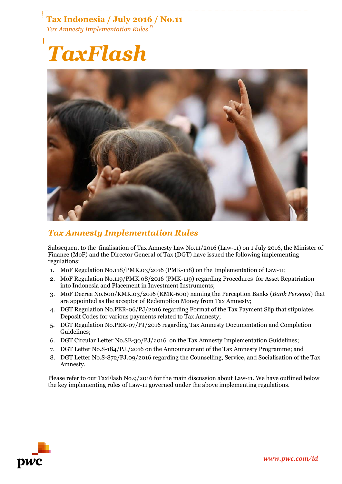**Tax Indonesia / July 2016 / No.11** *Tax Amnesty Implementation Rules P1*

# *TaxFlash*



# *Tax Amnesty Implementation Rules*

Subsequent to the finalisation of Tax Amnesty Law No.11/2016 (Law-11) on 1 July 2016, the Minister of Finance (MoF) and the Director General of Tax (DGT) have issued the following implementing regulations:

- 1. MoF Regulation No.118/PMK.03/2016 (PMK-118) on the Implementation of Law-11;
- 2. MoF Regulation No.119/PMK.08/2016 (PMK-119) regarding Procedures for Asset Repatriation into Indonesia and Placement in Investment Instruments;
- 3. MoF Decree No.600/KMK.03/2016 (KMK-600) naming the Perception Banks (*Bank Persepsi*) that are appointed as the acceptor of Redemption Money from Tax Amnesty;
- 4. DGT Regulation No.PER-06/PJ/2016 regarding Format of the Tax Payment Slip that stipulates Deposit Codes for various payments related to Tax Amnesty;
- 5. DGT Regulation No.PER-07/PJ/2016 regarding Tax Amnesty Documentation and Completion Guidelines;
- 6. DGT Circular Letter No.SE-30/PJ/2016 on the Tax Amnesty Implementation Guidelines;
- 7. DGT Letter No.S-184/PJ./2016 on the Announcement of the Tax Amnesty Programme; and
- 8. DGT Letter No.S-872/PJ.09/2016 regarding the Counselling, Service, and Socialisation of the Tax Amnesty.

Please refer to our TaxFlash No.9/2016 for the main discussion about Law-11. We have outlined below the key implementing rules of Law-11 governed under the above implementing regulations.

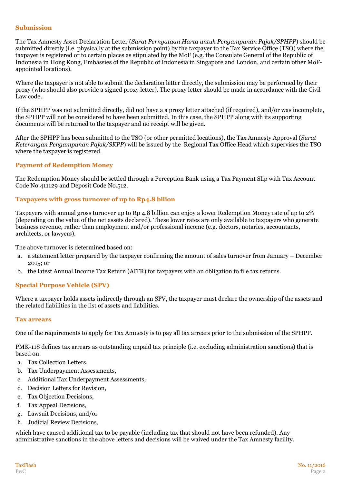#### **Submission**

The Tax Amnesty Asset Declaration Letter (*Surat Pernyataan Harta untuk Pengampunan Pajak/SPHPP*) should be submitted directly (i.e. physically at the submission point) by the taxpayer to the Tax Service Office (TSO) where the taxpayer is registered or to certain places as stipulated by the MoF (e.g. the Consulate General of the Republic of Indonesia in Hong Kong, Embassies of the Republic of Indonesia in Singapore and London, and certain other MoFappointed locations).

Where the taxpayer is not able to submit the declaration letter directly, the submission may be performed by their proxy (who should also provide a signed proxy letter). The proxy letter should be made in accordance with the Civil Law code.

If the SPHPP was not submitted directly, did not have a a proxy letter attached (if required), and/or was incomplete, the SPHPP will not be considered to have been submitted. In this case, the SPHPP along with its supporting documents will be returned to the taxpayer and no receipt will be given.

After the SPHPP has been submitted to the TSO (or other permitted locations), the Tax Amnesty Approval (*Surat Keterangan Pengampunan Pajak/SKPP*) will be issued by the Regional Tax Office Head which supervises the TSO where the taxpayer is registered.

#### **Payment of Redemption Money**

The Redemption Money should be settled through a Perception Bank using a Tax Payment Slip with Tax Account Code No.411129 and Deposit Code No.512.

#### **Taxpayers with gross turnover of up to Rp4.8 bilion**

Taxpayers with annual gross turnover up to Rp 4.8 billion can enjoy a lower Redemption Money rate of up to 2% (depending on the value of the net assets declared). These lower rates are only available to taxpayers who generate business revenue, rather than employment and/or professional income (e.g. doctors, notaries, accountants, architects, or lawyers).

The above turnover is determined based on:

- a. a statement letter prepared by the taxpayer confirming the amount of sales turnover from January December 2015; or
- b. the latest Annual Income Tax Return (AITR) for taxpayers with an obligation to file tax returns.

#### **Special Purpose Vehicle (SPV)**

Where a taxpayer holds assets indirectly through an SPV, the taxpayer must declare the ownership of the assets and the related liabilities in the list of assets and liabilities.

#### **Tax arrears**

One of the requirements to apply for Tax Amnesty is to pay all tax arrears prior to the submission of the SPHPP.

PMK-118 defines tax arrears as outstanding unpaid tax principle (i.e. excluding administration sanctions) that is based on:

- a. Tax Collection Letters,
- b. Tax Underpayment Assessments,
- c. Additional Tax Underpayment Assessments,
- d. Decision Letters for Revision,
- e. Tax Objection Decisions,
- f. Tax Appeal Decisions,
- g. Lawsuit Decisions, and/or
- h. Judicial Review Decisions,

which have caused additional tax to be payable (including tax that should not have been refunded). Any administrative sanctions in the above letters and decisions will be waived under the Tax Amnesty facility.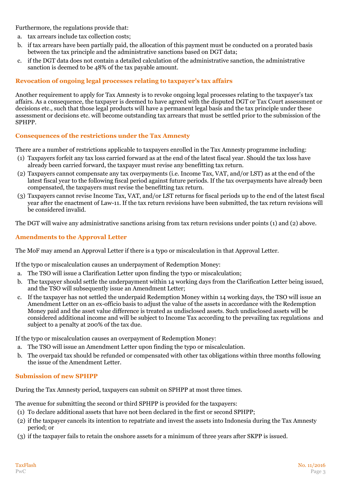Furthermore, the regulations provide that:

- a. tax arrears include tax collection costs;
- b. if tax arrears have been partially paid, the allocation of this payment must be conducted on a prorated basis between the tax principle and the administrative sanctions based on DGT data;
- c. if the DGT data does not contain a detailed calculation of the administrative sanction, the administrative sanction is deemed to be 48% of the tax payable amount.

# **Revocation of ongoing legal processes relating to taxpayer's tax affairs**

Another requirement to apply for Tax Amnesty is to revoke ongoing legal processes relating to the taxpayer's tax affairs. As a consequence, the taxpayer is deemed to have agreed with the disputed DGT or Tax Court assessment or decisions etc., such that those legal products will have a permanent legal basis and the tax principle under these assessment or decisions etc. will become outstanding tax arrears that must be settled prior to the submission of the SPHPP.

# **Consequences of the restrictions under the Tax Amnesty**

There are a number of restrictions applicable to taxpayers enrolled in the Tax Amnesty programme including:

- (1) Taxpayers forfeit any tax loss carried forward as at the end of the latest fiscal year. Should the tax loss have already been carried forward, the taxpayer must revise any benefitting tax return.
- (2) Taxpayers cannot compensate any tax overpayments (i.e. Income Tax, VAT, and/or LST) as at the end of the latest fiscal year to the following fiscal period against future periods. If the tax overpayments have already been compensated, the taxpayers must revise the benefitting tax return.
- (3) Taxpayers cannot revise Income Tax, VAT, and/or LST returns for fiscal periods up to the end of the latest fiscal year after the enactment of Law-11. If the tax return revisions have been submitted, the tax return revisions will be considered invalid.

The DGT will waive any administrative sanctions arising from tax return revisions under points (1) and (2) above.

# **Amendments to the Approval Letter**

The MoF may amend an Approval Letter if there is a typo or miscalculation in that Approval Letter.

If the typo or miscalculation causes an underpayment of Redemption Money:

- a. The TSO will issue a Clarification Letter upon finding the typo or miscalculation;
- b. The taxpayer should settle the underpayment within 14 working days from the Clarification Letter being issued, and the TSO will subsequently issue an Amendment Letter;
- c. If the taxpayer has not settled the underpaid Redemption Money within 14 working days, the TSO will issue an Amendment Letter on an ex-officio basis to adjust the value of the assets in accordance with the Redemption Money paid and the asset value difference is treated as undisclosed assets. Such undisclosed assets will be considered additional income and will be subject to Income Tax according to the prevailing tax regulations and subject to a penalty at 200% of the tax due.

If the typo or miscalculation causes an overpayment of Redemption Money:

- a. The TSO will issue an Amendment Letter upon finding the typo or miscalculation.
- b. The overpaid tax should be refunded or compensated with other tax obligations within three months following the issue of the Amendment Letter.

### **Submission of new SPHPP**

During the Tax Amnesty period, taxpayers can submit on SPHPP at most three times.

The avenue for submitting the second or third SPHPP is provided for the taxpayers:

- (1) To declare additional assets that have not been declared in the first or second SPHPP;
- (2) if the taxpayer cancels its intention to repatriate and invest the assets into Indonesia during the Tax Amnesty period; or
- (3) if the taxpayer fails to retain the onshore assets for a minimum of three years after SKPP is issued.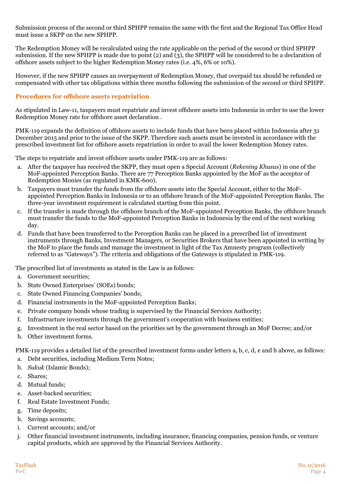Submission process of the second or third SPHPP remains the same with the first and the Regional Tax Office Head must issue a SKPP on the new SPHPP.

The Redemption Money will be recalculated using the rate applicable on the period of the second or third SPHPP submission. If the new SPHPP is made due to point (2) and  $(\overline{3})$ , the SPHPP will be considered to be a declaration of offshore assets subject to the higher Redemption Money rates (i.e. 4%, 6% or 10%).

However, if the new SPHPP causes an overpayment of Redemption Money, that overpaid tax should be refunded or compensated with other tax obligations within three months following the submission of the second or third SPHPP.

### **Procedures for offshore assets repatriation**

As stipulated in Law-11, taxpayers must repatriate and invest offshore assets into Indonesia in order to use the lower Redemption Money rate for offshore asset declaration .

PMK-119 expands the definition of offshore assets to include funds that have been placed within Indonesia after 31 December 2015 and prior to the issue of the SKPP. Therefore such assets must be invested in accordance with the prescribed investment list for offshore assets repatriation in order to avail the lower Redemption Money rates.

The steps to repatriate and invest offshore assets under PMK-119 are as follows:

- a. After the taxpayer has received the SKPP, they must open a Special Account (*Rekening Khusus*) in one of the MoF-appointed Perception Banks. There are 77 Perception Banks appointed by the MoF as the acceptor of Redemption Monies (as regulated in KMK-600).
- b. Taxpayers must transfer the funds from the offshore assets into the Special Account, either to the MoFappointed Perception Banks in Indonesia or to an offshore branch of the MoF-appointed Perception Banks. The three-year investment requirement is calculated starting from this point.
- c. If the transfer is made through the offshore branch of the MoF-appointed Perception Banks, the offshore branch must transfer the funds to the MoF-appointed Perception Banks in Indonesia by the end of the next working day.
- d. Funds that have been transferred to the Perception Banks can be placed in a prescribed list of investment instruments through Banks, Investment Managers, or Securities Brokers that have been appointed in writing by the MoF to place the funds and manage the investment in light of the Tax Amnesty program (collectively referred to as "Gateways"). The criteria and obligations of the Gateways is stipulated in PMK-119.

The prescribed list of investments as stated in the Law is as follows:

- a. Government securities;
- b. State Owned Enterprises' (SOEs) bonds;
- c. State Owned Financing Companies' bonds;
- d. Financial instruments in the MoF-appointed Perception Banks;
- e. Private company bonds whose trading is supervised by the Financial Services Authority;
- f. Infrastructure investments through the government's cooperation with business entities;
- g. Investment in the real sector based on the priorities set by the government through an MoF Decree; and/or
- h. Other investment forms.

PMK-119 provides a detailed list of the prescribed investment forms under letters a, b, c, d, e and h above, as follows:

- a. Debt securities, including Medium Term Notes;
- b. *Sukuk* (Islamic Bonds);
- c. Shares;
- d. Mutual funds;
- e. Asset-backed securities;
- f. Real Estate Investment Funds;
- g. Time deposits;
- h. Savings accounts;
- i. Current accounts; and/or
- j. Other financial investment instruments, including insurance, financing companies, pension funds, or venture capital products, which are approved by the Financial Services Authority.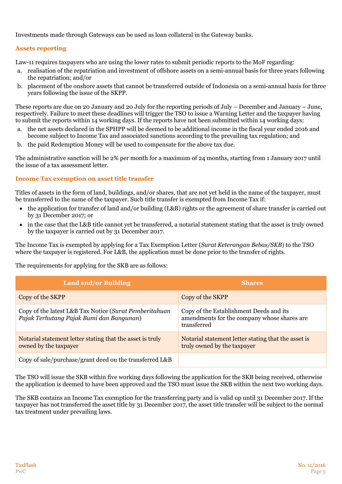Investments made through Gateways can be used as loan collateral in the Gateway banks.

# **Assets reporting**

Law-11 requires taxpayers who are using the lower rates to submit periodic reports to the MoF regarding:

- a. realisation of the repatriation and investment of offshore assets on a semi-annual basis for three years following the repatriation; and/or
- b. placement of the onshore assets that cannot be transferred outside of Indonesia on a semi-annual basis for three years following the issue of the SKPP.

These reports are due on 20 January and 20 July for the reporting periods of July – December and January – June, respectively. Failure to meet these deadlines will trigger the TSO to issue a Warning Letter and the taxpayer having to submit the reports within 14 working days. If the reports have not been submitted within 14 working days:

- a. the net assets declared in the SPHPP will be deemed to be additional income in the fiscal year ended 2016 and become subject to Income Tax and associated sanctions according to the prevailing tax regulation; and
- b. the paid Redemption Money will be used to compensate for the above tax due.

The administrative sanction will be 2% per month for a maximum of 24 months, starting from 1 January 2017 until the issue of a tax assessment letter.

### **Income Tax exemption on asset title transfer**

Titles of assets in the form of land, buildings, and/or shares, that are not yet held in the name of the taxpayer, must be transferred to the name of the taxpayer. Such title transfer is exempted from Income Tax if:

- the application for transfer of land and/or building (L&B) rights or the agreement of share transfer is carried out by 31 December 2017; or
- in the case that the L&B title cannot yet be transferred, a notarial statement stating that the asset is truly owned by the taxpayer is carried out by 31 December 2017.

The Income Tax is exempted by applying for a Tax Exemption Letter (*Surat Keterangan Bebas/SKB*) to the TSO where the taxpayer is registered. For L&B, the application must be done prior to the transfer of rights.

The requirements for applying for the SKB are as follows:

| <b>Land and/or Building</b>                                                                        | <b>Shares</b>                                                                                         |
|----------------------------------------------------------------------------------------------------|-------------------------------------------------------------------------------------------------------|
| Copy of the SKPP                                                                                   | Copy of the SKPP                                                                                      |
| Copy of the latest L&B Tax Notice (Surat Pemberitahuan<br>Pajak Terhutang Pajak Bumi dan Bangunan) | Copy of the Establishment Deeds and its<br>amendments for the company whose shares are<br>transferred |
| Notarial statement letter stating that the asset is truly<br>owned by the taxpayer                 | Notarial statement letter stating that the asset is<br>truly owned by the taxpayer                    |
| Copy of sale/purchase/grant deed on the transferred L&B                                            |                                                                                                       |

The TSO will issue the SKB within five working days following the application for the SKB being received, otherwise the application is deemed to have been approved and the TSO must issue the SKB within the next two working days.

The SKB contains an Income Tax exemption for the transferring party and is valid up until 31 December 2017. If the taxpayer has not transferred the asset title by 31 December 2017, the asset title transfer will be subject to the normal tax treatment under prevailing laws.